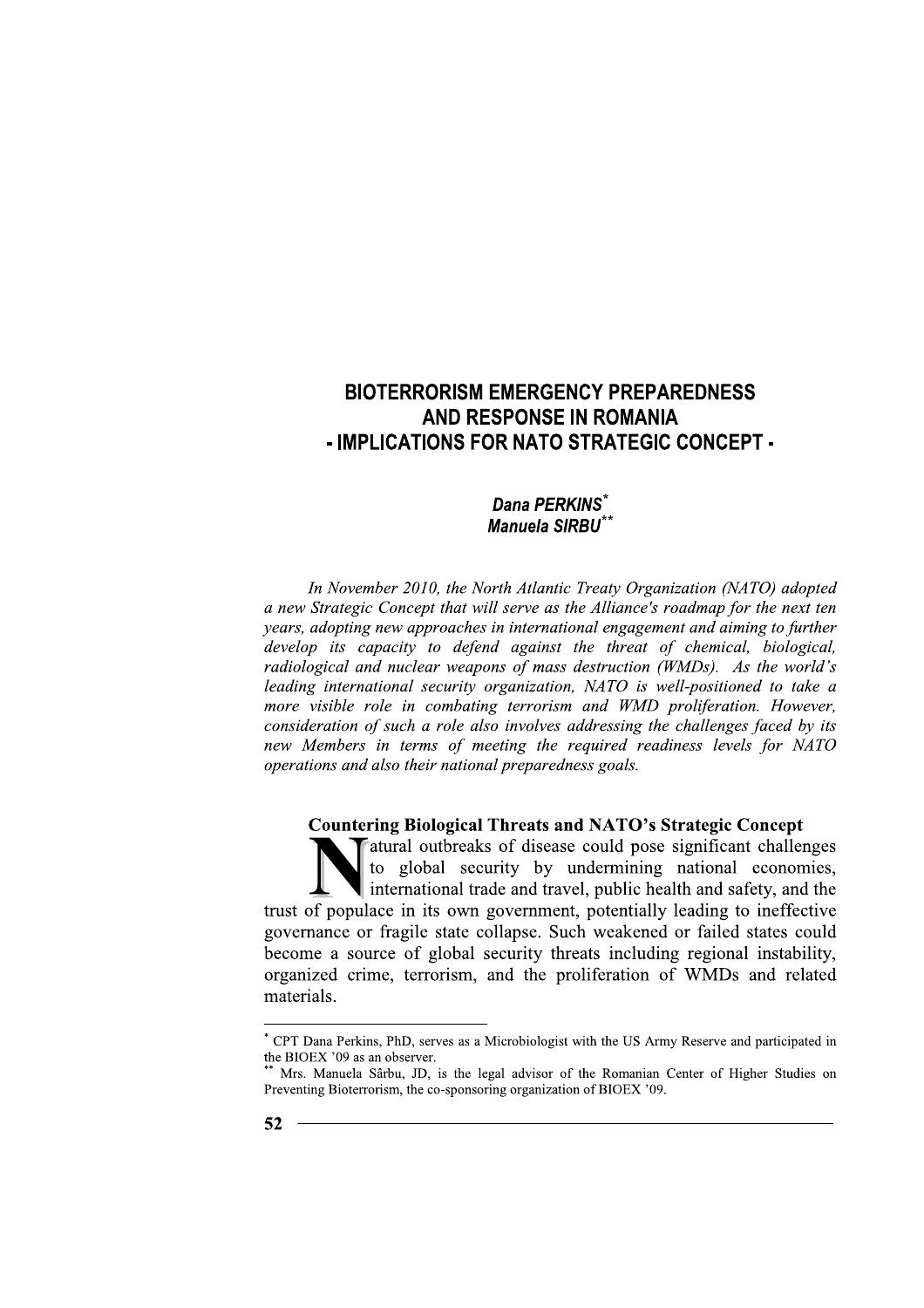# Dana PERKINS\* Manuela SIRBU<sup>\*</sup>

In November 2010, the North Atlantic Treaty Organization (NATO) adopted a new Strategic Concept that will serve as the Alliance's roadmap for the next ten years, adopting new approaches in international engagement and aiming to further develop its capacity to defend against the threat of chemical, biological, radiological and nuclear weapons of mass destruction (WMDs). As the world's leading international security organization, NATO is well-positioned to take a more visible role in combating terrorism and WMD proliferation. However, consideration of such a role also involves addressing the challenges faced by its new Members in terms of meeting the required readiness levels for NATO operations and also their national preparedness goals.

# **Countering Biological Threats and NATO's Strategic Concept**

atural outbreaks of disease could pose significant challenges to global security by undermining national economies, international trade and travel, public health and safety, and the trust of populace in its own government, potentially leading to ineffective governance or fragile state collapse. Such weakened or failed states could become a source of global security threats including regional instability, organized crime, terrorism, and the proliferation of WMDs and related materials.

<sup>\*</sup> CPT Dana Perkins, PhD, serves as a Microbiologist with the US Army Reserve and participated in the BIOEX '09 as an observer.

Mrs. Manuela Sârbu, JD, is the legal advisor of the Romanian Center of Higher Studies on Preventing Bioterrorism, the co-sponsoring organization of BIOEX '09.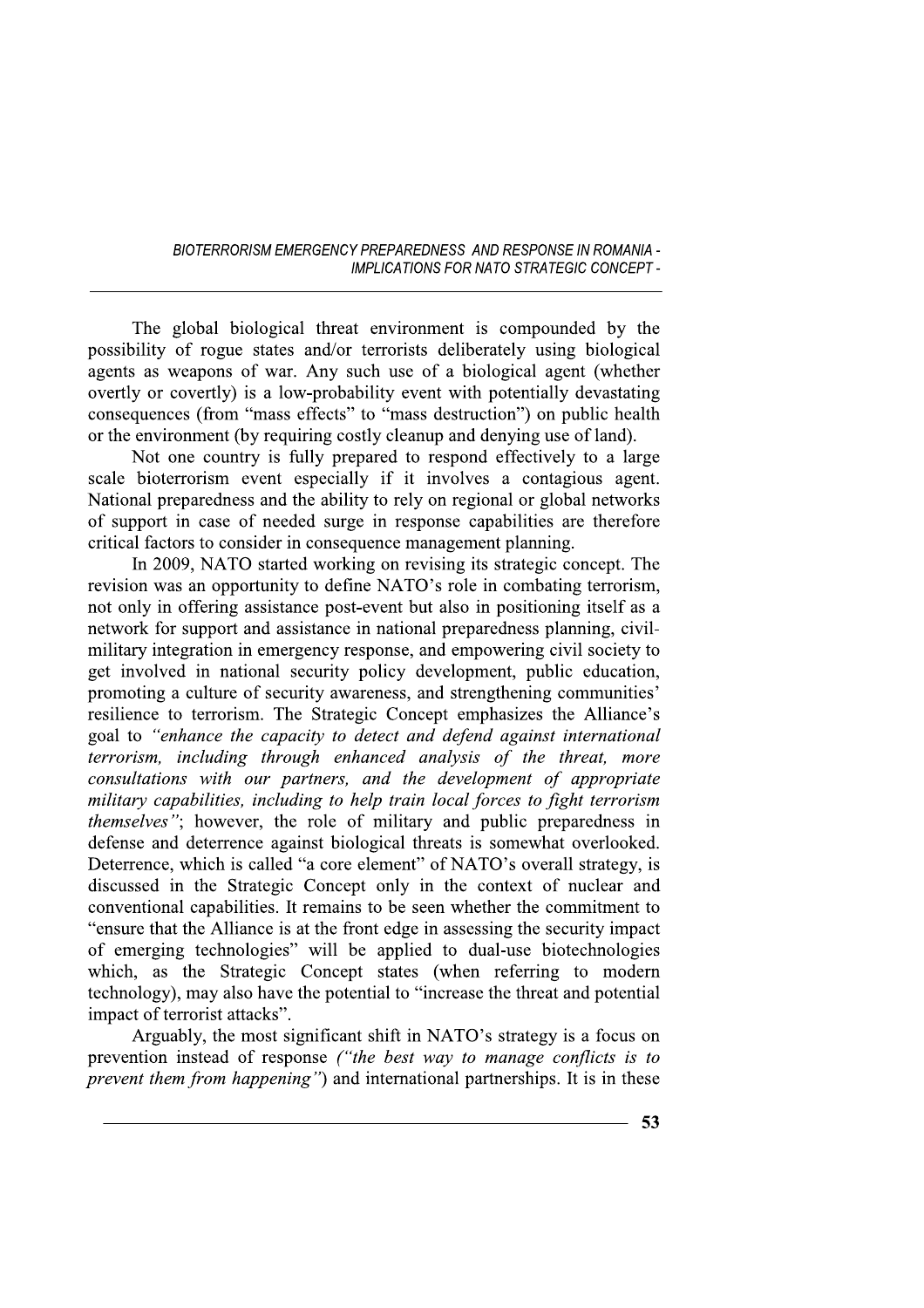The global biological threat environment is compounded by the possibility of rogue states and/or terrorists deliberately using biological agents as weapons of war. Any such use of a biological agent (whether overtly or covertly) is a low-probability event with potentially devastating consequences (from "mass effects" to "mass destruction") on public health or the environment (by requiring costly cleanup and denying use of land).

Not one country is fully prepared to respond effectively to a large scale bioterrorism event especially if it involves a contagious agent. National preparedness and the ability to rely on regional or global networks of support in case of needed surge in response capabilities are therefore critical factors to consider in consequence management planning.

In 2009, NATO started working on revising its strategic concept. The revision was an opportunity to define NATO's role in combating terrorism, not only in offering assistance post-event but also in positioning itself as a network for support and assistance in national preparedness planning, civilmilitary integration in emergency response, and empowering civil society to get involved in national security policy development, public education, promoting a culture of security awareness, and strengthening communities' resilience to terrorism. The Strategic Concept emphasizes the Alliance's goal to "enhance the capacity to detect and defend against international terrorism, including through enhanced analysis of the threat, more consultations with our partners, and the development of appropriate military capabilities, including to help train local forces to fight terrorism *themselves"*; however, the role of military and public preparedness in defense and deterrence against biological threats is somewhat overlooked. Deterrence, which is called "a core element" of NATO's overall strategy, is discussed in the Strategic Concept only in the context of nuclear and conventional capabilities. It remains to be seen whether the commitment to "ensure that the Alliance is at the front edge in assessing the security impact of emerging technologies" will be applied to dual-use biotechnologies which, as the Strategic Concept states (when referring to modern technology), may also have the potential to "increase the threat and potential impact of terrorist attacks".

Arguably, the most significant shift in NATO's strategy is a focus on prevention instead of response ("the best way to manage conflicts is to *prevent them from happening*") and international partnerships. It is in these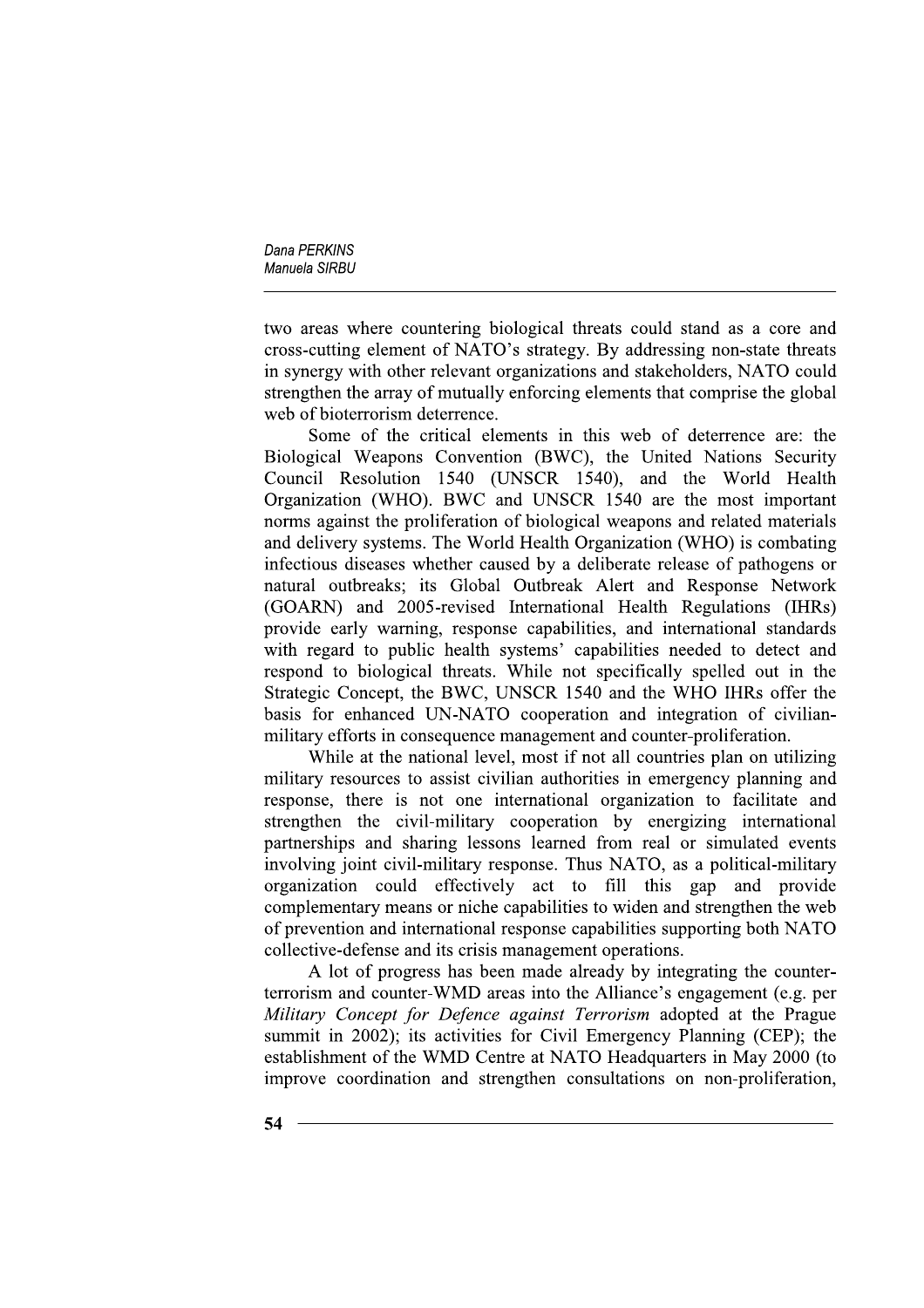two areas where countering biological threats could stand as a core and cross-cutting element of NATO's strategy. By addressing non-state threats in synergy with other relevant organizations and stakeholders, NATO could strengthen the array of mutually enforcing elements that comprise the global web of bioterrorism deterrence.

Some of the critical elements in this web of deterrence are: the Biological Weapons Convention (BWC), the United Nations Security Council Resolution 1540 (UNSCR 1540), and the World Health Organization (WHO). BWC and UNSCR 1540 are the most important norms against the proliferation of biological weapons and related materials and delivery systems. The World Health Organization (WHO) is combating infectious diseases whether caused by a deliberate release of pathogens or natural outbreaks; its Global Outbreak Alert and Response Network (GOARN) and 2005-revised International Health Regulations (IHRs) provide early warning, response capabilities, and international standards with regard to public health systems' capabilities needed to detect and respond to biological threats. While not specifically spelled out in the Strategic Concept, the BWC, UNSCR 1540 and the WHO IHRs offer the basis for enhanced UN-NATO cooperation and integration of civilianmilitary efforts in consequence management and counter-proliferation.

While at the national level, most if not all countries plan on utilizing military resources to assist civilian authorities in emergency planning and response, there is not one international organization to facilitate and strengthen the civil-military cooperation by energizing international partnerships and sharing lessons learned from real or simulated events involving joint civil-military response. Thus NATO, as a political-military organization could effectively act to fill this gap and provide complementary means or niche capabilities to widen and strengthen the web of prevention and international response capabilities supporting both NATO collective-defense and its crisis management operations.

A lot of progress has been made already by integrating the counterterrorism and counter-WMD areas into the Alliance's engagement (e.g. per Military Concept for Defence against Terrorism adopted at the Prague summit in 2002); its activities for Civil Emergency Planning (CEP); the establishment of the WMD Centre at NATO Headquarters in May 2000 (to improve coordination and strengthen consultations on non-proliferation,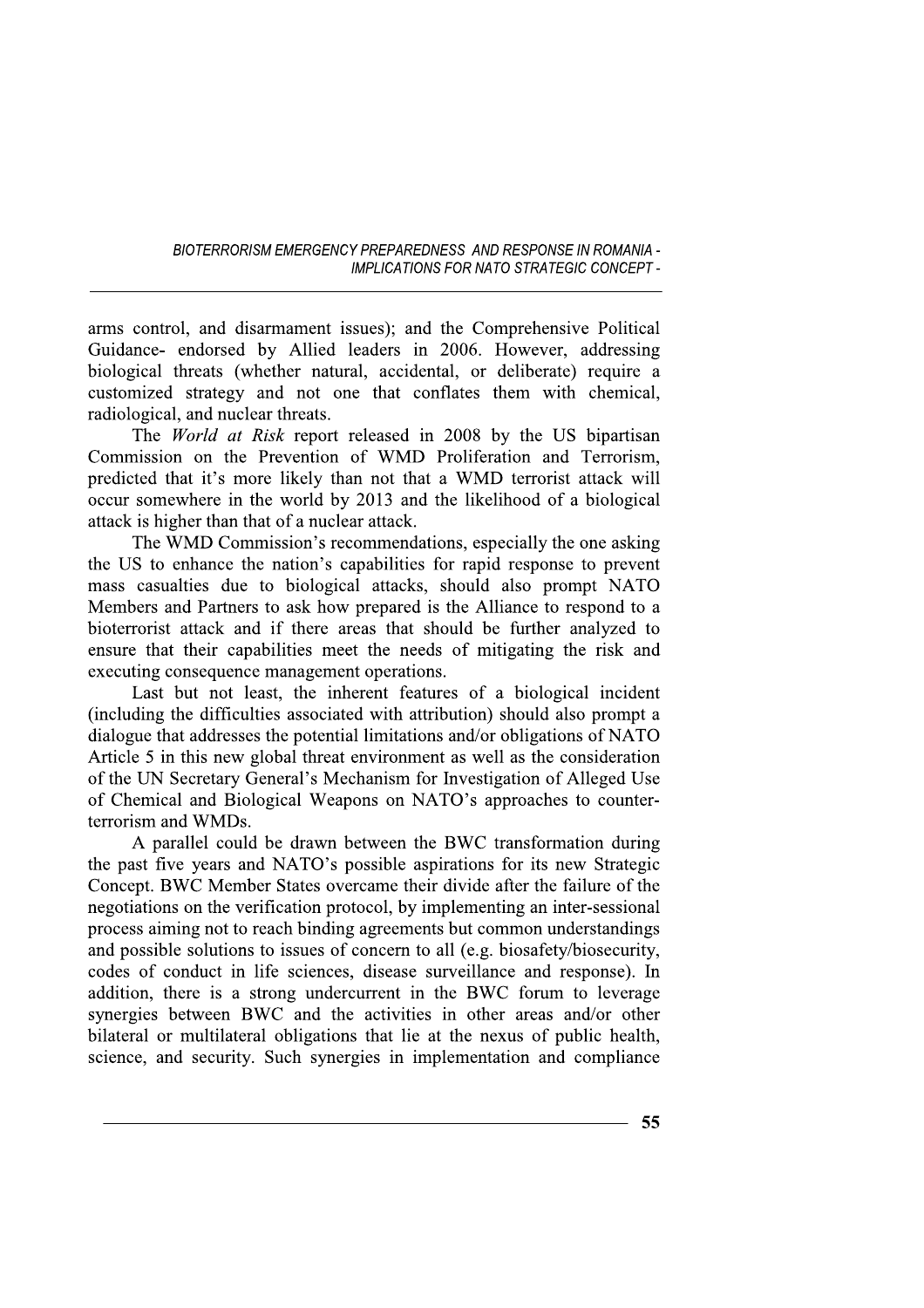arms control, and disarmament issues); and the Comprehensive Political Guidance- endorsed by Allied leaders in 2006. However, addressing biological threats (whether natural, accidental, or deliberate) require a customized strategy and not one that conflates them with chemical, radiological, and nuclear threats.

The *World at Risk* report released in 2008 by the US bipartisan Commission on the Prevention of WMD Proliferation and Terrorism, predicted that it's more likely than not that a WMD terrorist attack will occur somewhere in the world by 2013 and the likelihood of a biological attack is higher than that of a nuclear attack.

The WMD Commission's recommendations, especially the one asking the US to enhance the nation's capabilities for rapid response to prevent mass casualties due to biological attacks, should also prompt NATO Members and Partners to ask how prepared is the Alliance to respond to a bioterrorist attack and if there areas that should be further analyzed to ensure that their capabilities meet the needs of mitigating the risk and executing consequence management operations.

Last but not least, the inherent features of a biological incident (including the difficulties associated with attribution) should also prompt a dialogue that addresses the potential limitations and/or obligations of NATO Article 5 in this new global threat environment as well as the consideration of the UN Secretary General's Mechanism for Investigation of Alleged Use of Chemical and Biological Weapons on NATO's approaches to counterterrorism and WMDs.

A parallel could be drawn between the BWC transformation during the past five years and NATO's possible aspirations for its new Strategic Concept. BWC Member States overcame their divide after the failure of the negotiations on the verification protocol, by implementing an inter-sessional process aiming not to reach binding agreements but common understandings and possible solutions to issues of concern to all (e.g. biosafety/biosecurity, codes of conduct in life sciences, disease surveillance and response). In addition, there is a strong undercurrent in the BWC forum to leverage synergies between BWC and the activities in other areas and/or other bilateral or multilateral obligations that lie at the nexus of public health, science, and security. Such synergies in implementation and compliance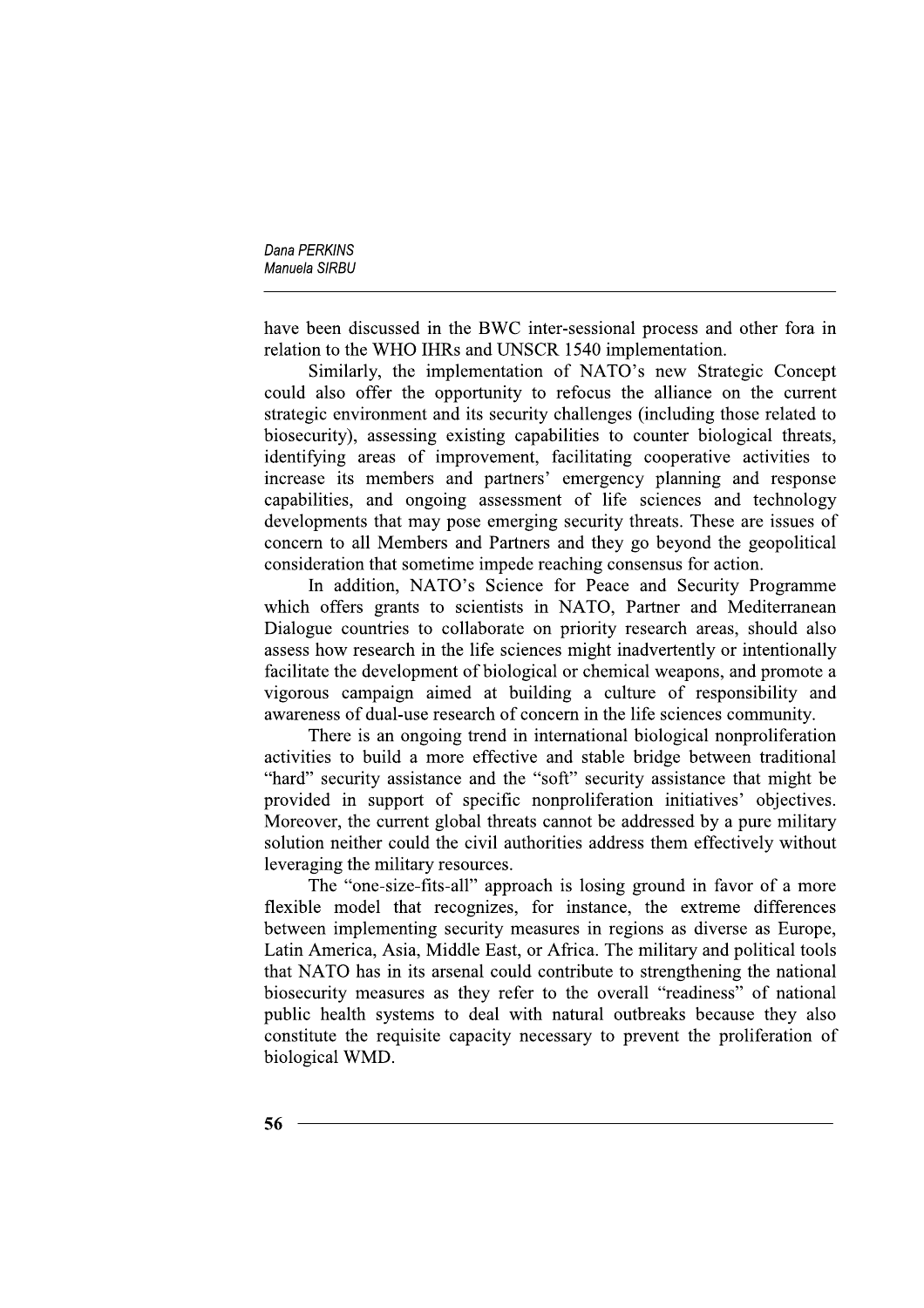have been discussed in the BWC inter-sessional process and other fora in relation to the WHO IHRs and UNSCR 1540 implementation.

Similarly, the implementation of NATO's new Strategic Concept could also offer the opportunity to refocus the alliance on the current strategic environment and its security challenges (including those related to biosecurity), assessing existing capabilities to counter biological threats, identifying areas of improvement, facilitating cooperative activities to increase its members and partners' emergency planning and response capabilities, and ongoing assessment of life sciences and technology developments that may pose emerging security threats. These are issues of concern to all Members and Partners and they go beyond the geopolitical consideration that sometime impede reaching consensus for action.

In addition, NATO's Science for Peace and Security Programme which offers grants to scientists in NATO, Partner and Mediterranean Dialogue countries to collaborate on priority research areas, should also assess how research in the life sciences might inadvertently or intentionally facilitate the development of biological or chemical weapons, and promote a vigorous campaign aimed at building a culture of responsibility and awareness of dual-use research of concern in the life sciences community.

There is an ongoing trend in international biological nonproliferation activities to build a more effective and stable bridge between traditional "hard" security assistance and the "soft" security assistance that might be provided in support of specific nonproliferation initiatives' objectives. Moreover, the current global threats cannot be addressed by a pure military solution neither could the civil authorities address them effectively without leveraging the military resources.

The "one-size-fits-all" approach is losing ground in favor of a more flexible model that recognizes, for instance, the extreme differences between implementing security measures in regions as diverse as Europe. Latin America, Asia, Middle East, or Africa. The military and political tools that NATO has in its arsenal could contribute to strengthening the national biosecurity measures as they refer to the overall "readiness" of national public health systems to deal with natural outbreaks because they also constitute the requisite capacity necessary to prevent the proliferation of biological WMD.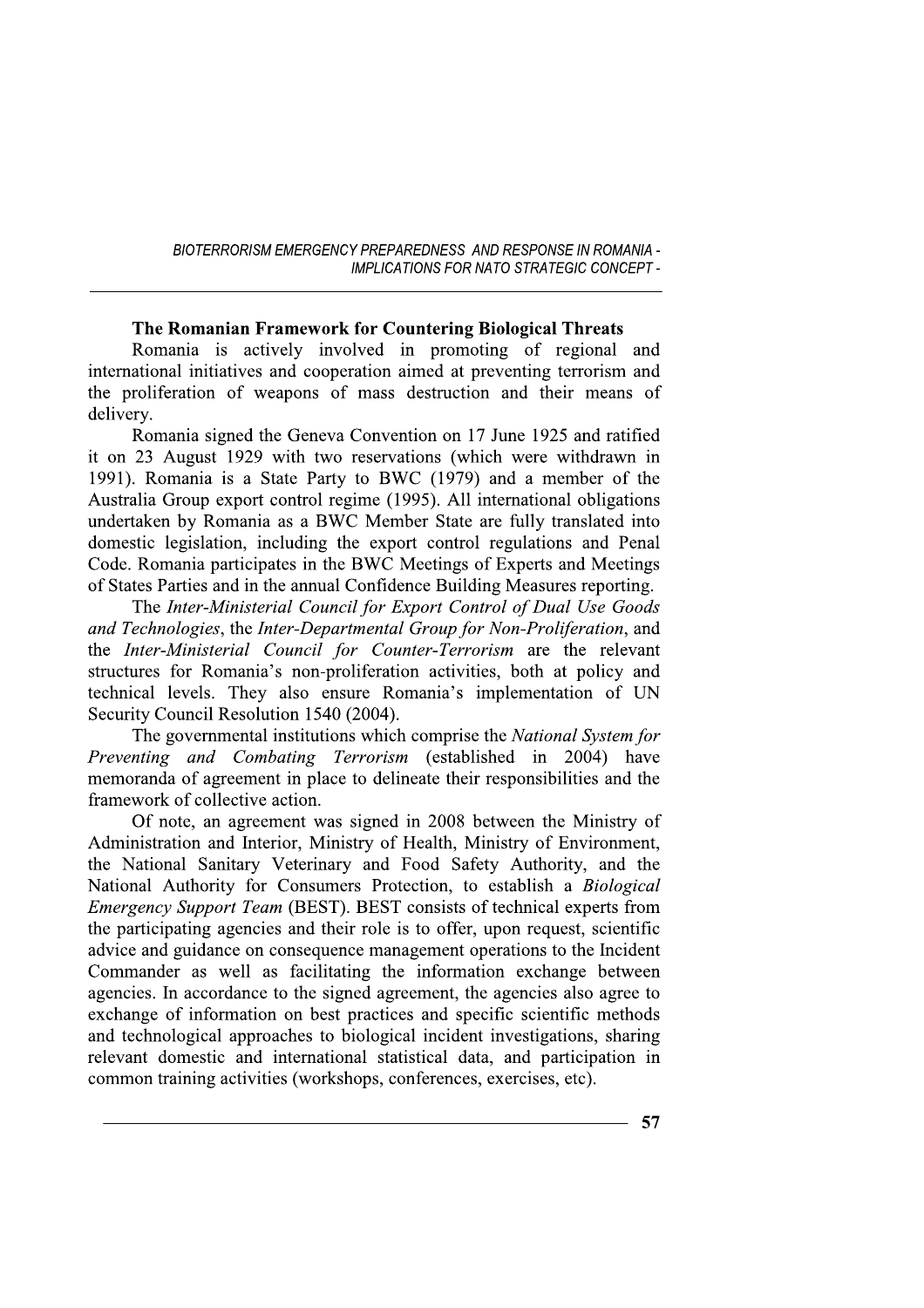#### The Romanian Framework for Countering Biological Threats

Romania is actively involved in promoting of regional and international initiatives and cooperation aimed at preventing terrorism and the proliferation of weapons of mass destruction and their means of delivery.

Romania signed the Geneva Convention on 17 June 1925 and ratified it on 23 August 1929 with two reservations (which were withdrawn in 1991). Romania is a State Party to BWC (1979) and a member of the Australia Group export control regime (1995). All international obligations undertaken by Romania as a BWC Member State are fully translated into domestic legislation, including the export control regulations and Penal Code. Romania participates in the BWC Meetings of Experts and Meetings of States Parties and in the annual Confidence Building Measures reporting.

The Inter-Ministerial Council for Export Control of Dual Use Goods and Technologies, the Inter-Departmental Group for Non-Proliferation, and the Inter-Ministerial Council for Counter-Terrorism are the relevant structures for Romania's non-proliferation activities, both at policy and technical levels. They also ensure Romania's implementation of UN Security Council Resolution 1540 (2004).

The governmental institutions which comprise the National System for Preventing and Combating Terrorism (established in 2004) have memoranda of agreement in place to delineate their responsibilities and the framework of collective action.

Of note, an agreement was signed in 2008 between the Ministry of Administration and Interior, Ministry of Health, Ministry of Environment, the National Sanitary Veterinary and Food Safety Authority, and the National Authority for Consumers Protection, to establish a Biological Emergency Support Team (BEST). BEST consists of technical experts from the participating agencies and their role is to offer, upon request, scientific advice and guidance on consequence management operations to the Incident Commander as well as facilitating the information exchange between agencies. In accordance to the signed agreement, the agencies also agree to exchange of information on best practices and specific scientific methods and technological approaches to biological incident investigations, sharing relevant domestic and international statistical data, and participation in common training activities (workshops, conferences, exercises, etc).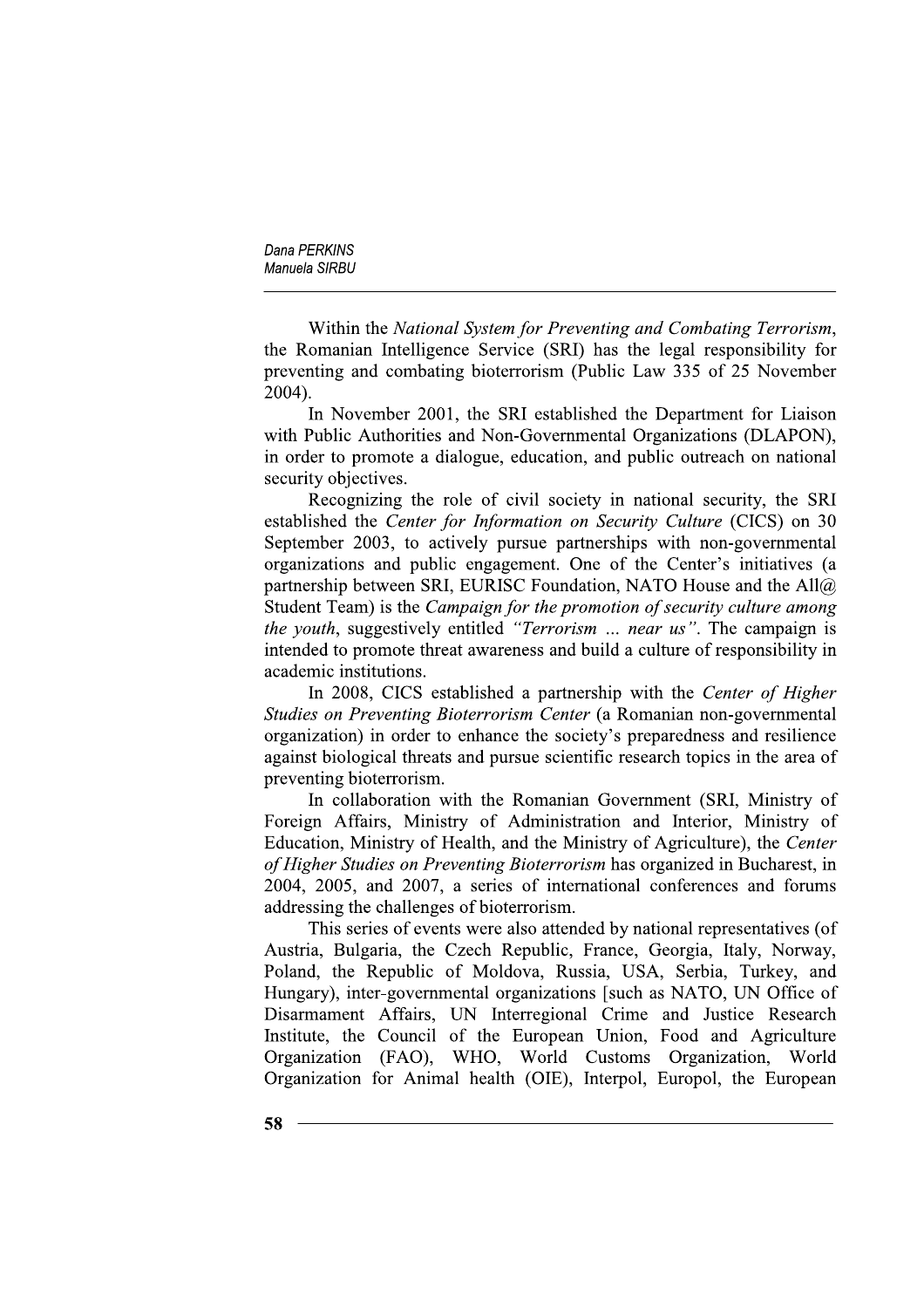Within the National System for Preventing and Combating Terrorism, the Romanian Intelligence Service (SRI) has the legal responsibility for preventing and combating bioterrorism (Public Law 335 of 25 November  $2004$ ).

In November 2001, the SRI established the Department for Liaison with Public Authorities and Non-Governmental Organizations (DLAPON), in order to promote a dialogue, education, and public outreach on national security objectives.

Recognizing the role of civil society in national security, the SRI established the Center for Information on Security Culture (CICS) on 30 September 2003, to actively pursue partnerships with non-governmental organizations and public engagement. One of the Center's initiatives (a partnership between SRI, EURISC Foundation, NATO House and the All@ Student Team) is the Campaign for the promotion of security culture among the youth, suggestively entitled "Terrorism ... near us". The campaign is intended to promote threat awareness and build a culture of responsibility in academic institutions.

In 2008, CICS established a partnership with the Center of Higher Studies on Preventing Bioterrorism Center (a Romanian non-governmental organization) in order to enhance the society's preparedness and resilience against biological threats and pursue scientific research topics in the area of preventing bioterrorism.

In collaboration with the Romanian Government (SRI, Ministry of Foreign Affairs, Ministry of Administration and Interior, Ministry of Education, Ministry of Health, and the Ministry of Agriculture), the Center of Higher Studies on Preventing Bioterrorism has organized in Bucharest, in 2004, 2005, and 2007, a series of international conferences and forums addressing the challenges of bioterrorism.

This series of events were also attended by national representatives (of Austria, Bulgaria, the Czech Republic, France, Georgia, Italy, Norway, Poland, the Republic of Moldova, Russia, USA, Serbia, Turkey, and Hungary), inter-governmental organizations [such as NATO, UN Office of Disarmament Affairs, UN Interregional Crime and Justice Research Institute, the Council of the European Union, Food and Agriculture Organization (FAO), WHO, World Customs Organization, World Organization for Animal health (OIE), Interpol, Europol, the European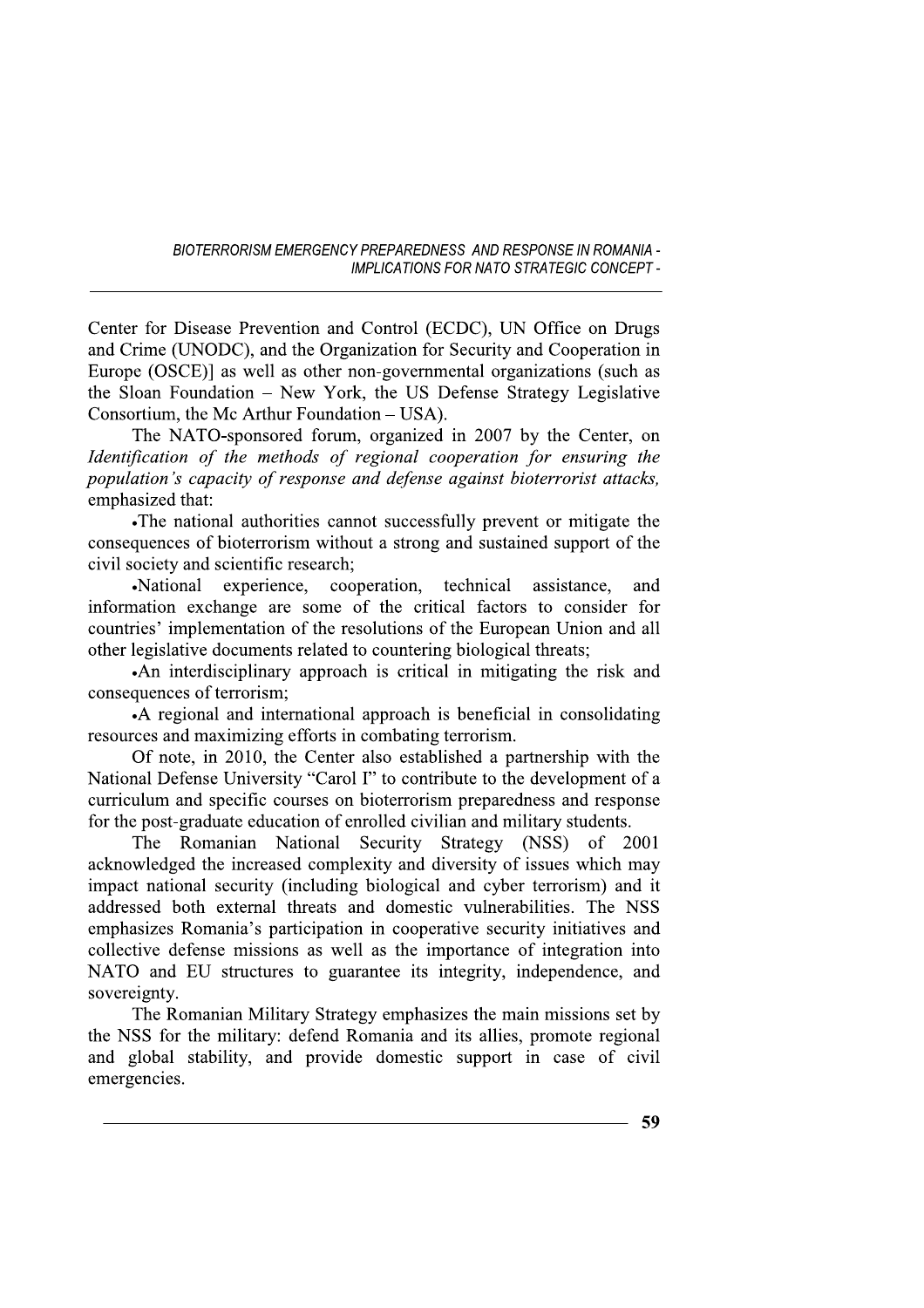Center for Disease Prevention and Control (ECDC), UN Office on Drugs and Crime (UNODC), and the Organization for Security and Cooperation in Europe (OSCE)] as well as other non-governmental organizations (such as the Sloan Foundation – New York, the US Defense Strategy Legislative Consortium, the Mc Arthur Foundation – USA).

The NATO-sponsored forum, organized in 2007 by the Center, on Identification of the methods of regional cooperation for ensuring the population's capacity of response and defense against bioterrorist attacks, emphasized that:

•The national authorities cannot successfully prevent or mitigate the consequences of bioterrorism without a strong and sustained support of the civil society and scientific research;

·National experience, cooperation, technical assistance, and information exchange are some of the critical factors to consider for countries' implementation of the resolutions of the European Union and all other legislative documents related to countering biological threats;

•An interdisciplinary approach is critical in mitigating the risk and consequences of terrorism:

•A regional and international approach is beneficial in consolidating resources and maximizing efforts in combating terrorism.

Of note, in 2010, the Center also established a partnership with the National Defense University "Carol I" to contribute to the development of a curriculum and specific courses on bioterrorism preparedness and response for the post-graduate education of enrolled civilian and military students.

The Romanian National Security Strategy (NSS) of 2001 acknowledged the increased complexity and diversity of issues which may impact national security (including biological and cyber terrorism) and it addressed both external threats and domestic vulnerabilities. The NSS emphasizes Romania's participation in cooperative security initiatives and collective defense missions as well as the importance of integration into NATO and EU structures to guarantee its integrity, independence, and sovereignty.

The Romanian Military Strategy emphasizes the main missions set by the NSS for the military: defend Romania and its allies, promote regional and global stability, and provide domestic support in case of civil emergencies.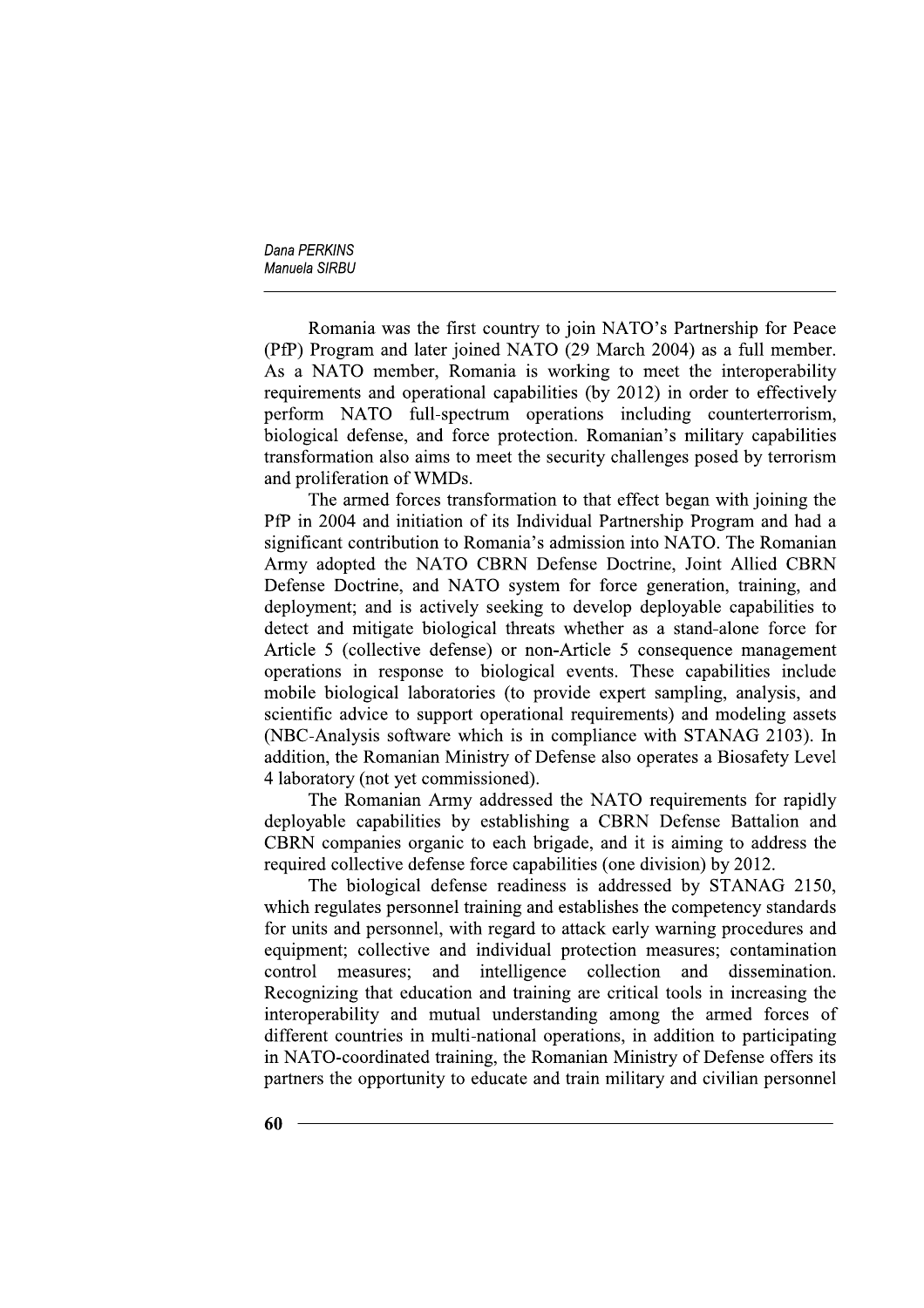Romania was the first country to join NATO's Partnership for Peace (PfP) Program and later joined NATO (29 March 2004) as a full member. As a NATO member, Romania is working to meet the interoperability requirements and operational capabilities (by 2012) in order to effectively perform NATO full-spectrum operations including counterterrorism, biological defense, and force protection. Romanian's military capabilities transformation also aims to meet the security challenges posed by terrorism and proliferation of WMDs.

The armed forces transformation to that effect began with joining the PfP in 2004 and initiation of its Individual Partnership Program and had a significant contribution to Romania's admission into NATO. The Romanian Army adopted the NATO CBRN Defense Doctrine, Joint Allied CBRN Defense Doctrine, and NATO system for force generation, training, and deployment; and is actively seeking to develop deployable capabilities to detect and mitigate biological threats whether as a stand-alone force for Article 5 (collective defense) or non-Article 5 consequence management operations in response to biological events. These capabilities include mobile biological laboratories (to provide expert sampling, analysis, and scientific advice to support operational requirements) and modeling assets (NBC-Analysis software which is in compliance with STANAG 2103). In addition, the Romanian Ministry of Defense also operates a Biosafety Level 4 laboratory (not yet commissioned).

The Romanian Army addressed the NATO requirements for rapidly deployable capabilities by establishing a CBRN Defense Battalion and CBRN companies organic to each brigade, and it is aiming to address the required collective defense force capabilities (one division) by 2012.

The biological defense readiness is addressed by STANAG 2150, which regulates personnel training and establishes the competency standards for units and personnel, with regard to attack early warning procedures and equipment; collective and individual protection measures; contamination control measures: and intelligence collection and dissemination. Recognizing that education and training are critical tools in increasing the interoperability and mutual understanding among the armed forces of different countries in multi-national operations, in addition to participating in NATO-coordinated training, the Romanian Ministry of Defense offers its partners the opportunity to educate and train military and civilian personnel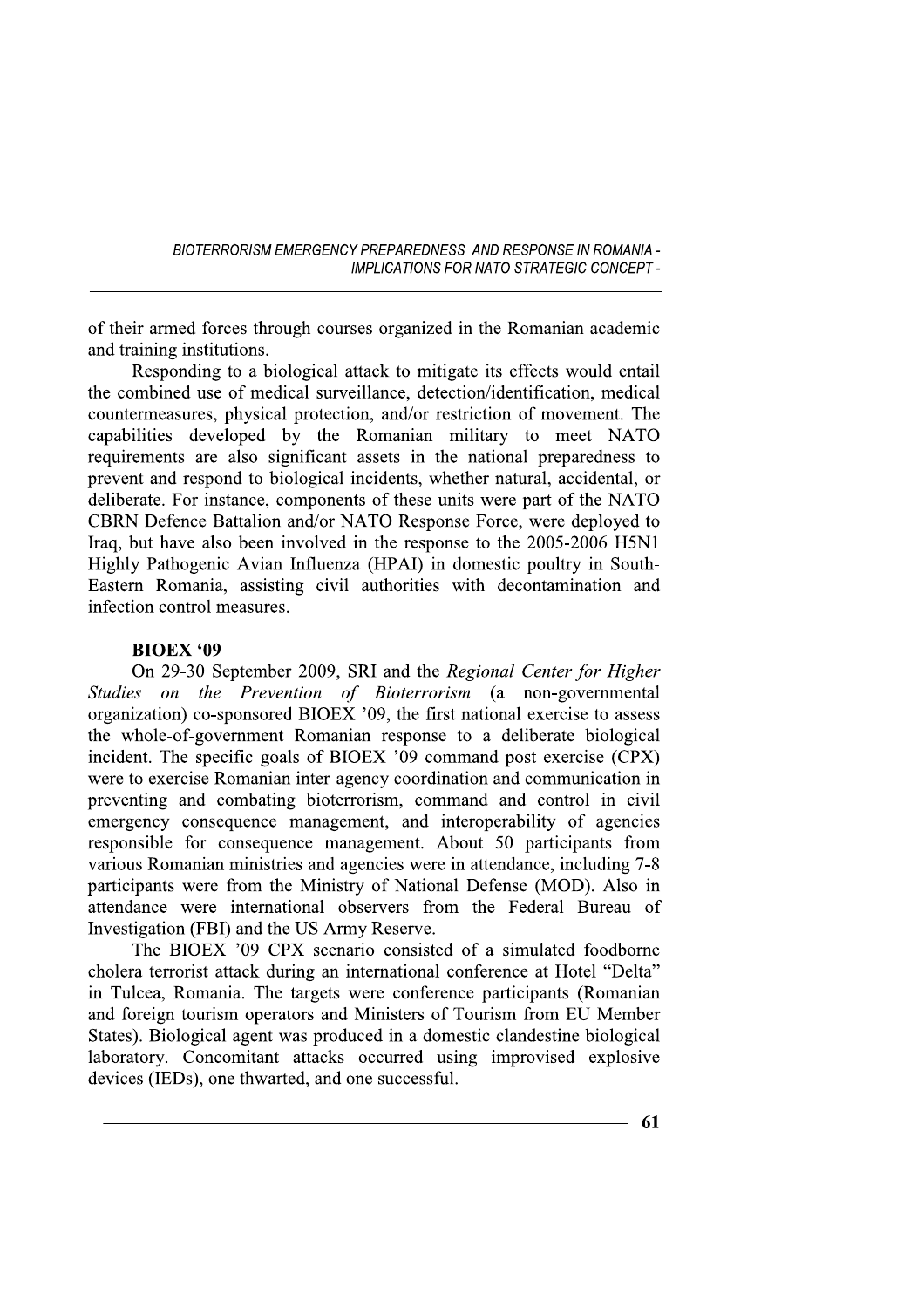of their armed forces through courses organized in the Romanian academic and training institutions.

Responding to a biological attack to mitigate its effects would entail the combined use of medical surveillance, detection/identification, medical countermeasures, physical protection, and/or restriction of movement. The capabilities developed by the Romanian military to meet NATO requirements are also significant assets in the national preparedness to prevent and respond to biological incidents, whether natural, accidental, or deliberate. For instance, components of these units were part of the NATO CBRN Defence Battalion and/or NATO Response Force, were deployed to Iraq, but have also been involved in the response to the 2005-2006 H5N1 Highly Pathogenic Avian Influenza (HPAI) in domestic poultry in South-Eastern Romania, assisting civil authorities with decontamination and infection control measures.

#### **BIOEX '09**

On 29-30 September 2009, SRI and the Regional Center for Higher on the Prevention of Bioterrorism (a non-governmental *Studies* organization) co-sponsored BIOEX '09, the first national exercise to assess the whole-of-government Romanian response to a deliberate biological incident. The specific goals of BIOEX '09 command post exercise (CPX) were to exercise Romanian inter-agency coordination and communication in preventing and combating bioterrorism, command and control in civil emergency consequence management, and interoperability of agencies responsible for consequence management. About 50 participants from various Romanian ministries and agencies were in attendance, including 7-8 participants were from the Ministry of National Defense (MOD). Also in attendance were international observers from the Federal Bureau of Investigation (FBI) and the US Army Reserve.

The BIOEX '09 CPX scenario consisted of a simulated foodborne cholera terrorist attack during an international conference at Hotel "Delta" in Tulcea, Romania. The targets were conference participants (Romanian and foreign tourism operators and Ministers of Tourism from EU Member States). Biological agent was produced in a domestic clandestine biological laboratory. Concomitant attacks occurred using improvised explosive devices (IEDs), one thwarted, and one successful.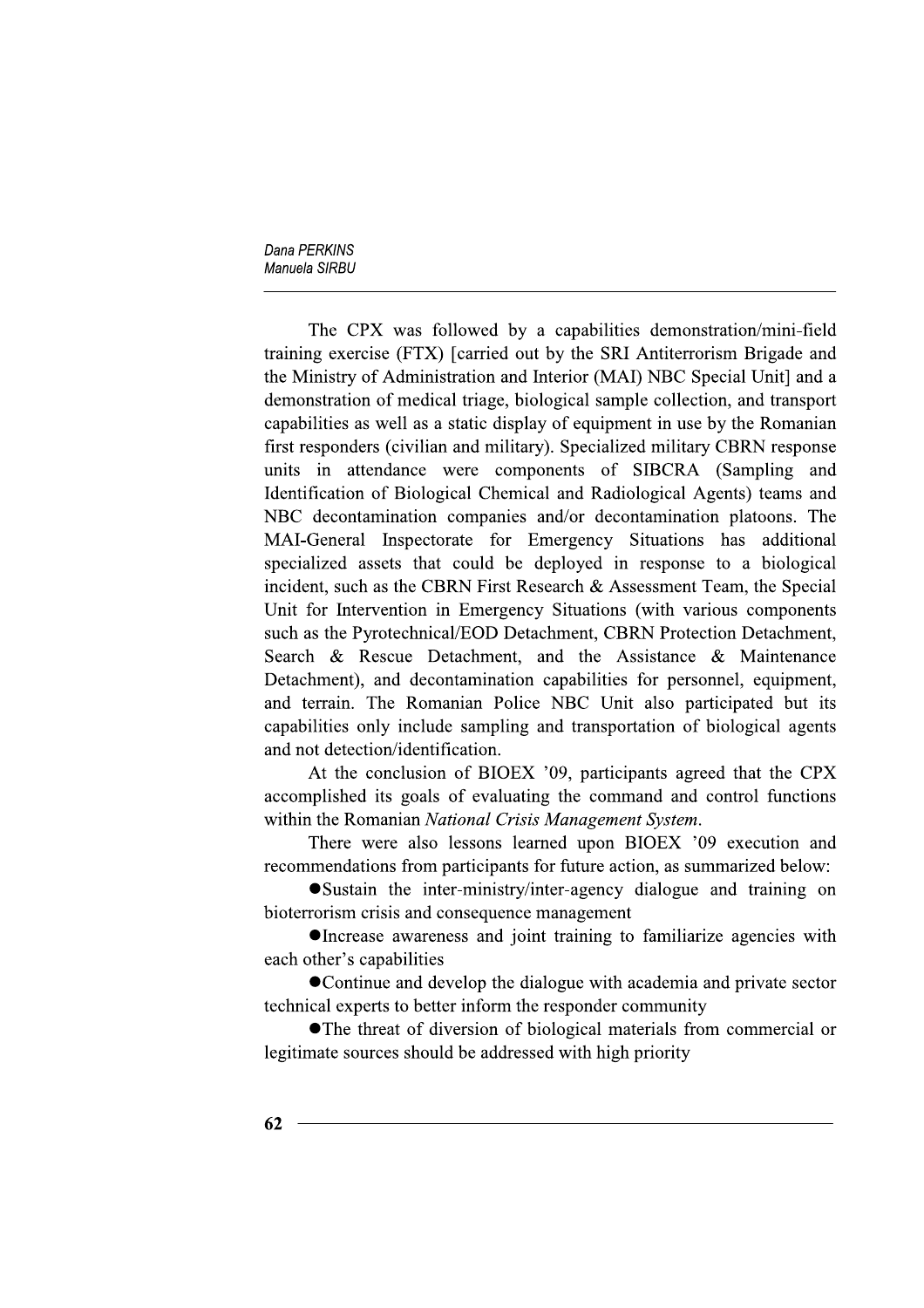The CPX was followed by a capabilities demonstration/mini-field training exercise (FTX) [carried out by the SRI Antiterrorism Brigade and the Ministry of Administration and Interior (MAI) NBC Special Unit] and a demonstration of medical triage, biological sample collection, and transport capabilities as well as a static display of equipment in use by the Romanian first responders (civilian and military). Specialized military CBRN response units in attendance were components of SIBCRA (Sampling and Identification of Biological Chemical and Radiological Agents) teams and NBC decontamination companies and/or decontamination platoons. The MAI-General Inspectorate for Emergency Situations has additional specialized assets that could be deployed in response to a biological incident, such as the CBRN First Research & Assessment Team, the Special Unit for Intervention in Emergency Situations (with various components such as the Pyrotechnical/EOD Detachment, CBRN Protection Detachment, Search & Rescue Detachment, and the Assistance & Maintenance Detachment), and decontamination capabilities for personnel, equipment, and terrain. The Romanian Police NBC Unit also participated but its capabilities only include sampling and transportation of biological agents and not detection/identification.

At the conclusion of BIOEX '09, participants agreed that the CPX accomplished its goals of evaluating the command and control functions within the Romanian National Crisis Management System.

There were also lessons learned upon BIOEX '09 execution and recommendations from participants for future action, as summarized below:

• Sustain the inter-ministry/inter-agency dialogue and training on bioterrorism crisis and consequence management

• Increase awareness and joint training to familiarize agencies with each other's capabilities

• Continue and develop the dialogue with academia and private sector technical experts to better inform the responder community

• The threat of diversion of biological materials from commercial or legitimate sources should be addressed with high priority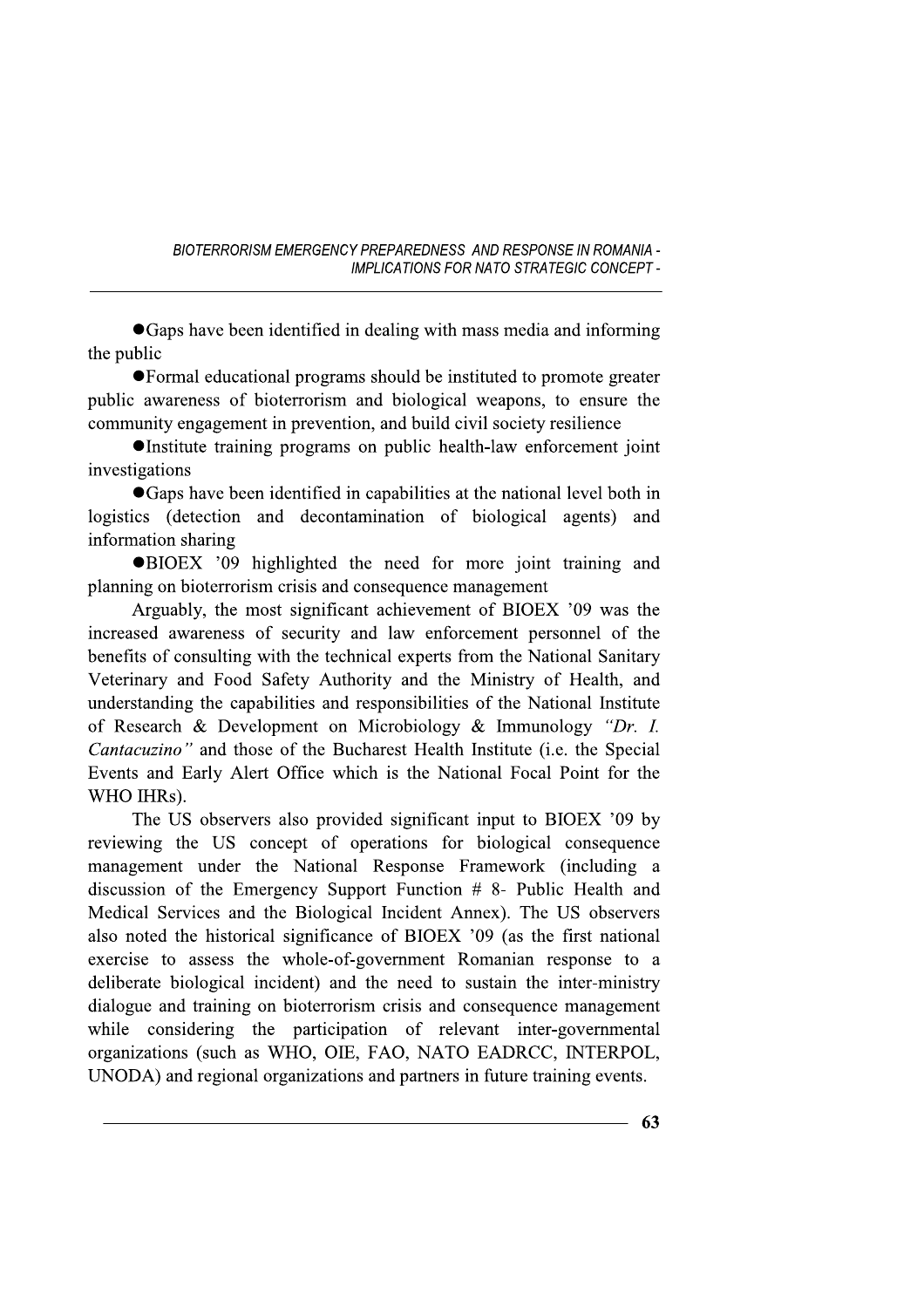• Gaps have been identified in dealing with mass media and informing the public

• Formal educational programs should be instituted to promote greater public awareness of bioterrorism and biological weapons, to ensure the community engagement in prevention, and build civil society resilience

•Institute training programs on public health-law enforcement joint investigations

• Gaps have been identified in capabilities at the national level both in logistics (detection and decontamination of biological agents) and information sharing

**OBIOEX** '09 highlighted the need for more joint training and planning on bioterrorism crisis and consequence management

Arguably, the most significant achievement of BIOEX '09 was the increased awareness of security and law enforcement personnel of the benefits of consulting with the technical experts from the National Sanitary Veterinary and Food Safety Authority and the Ministry of Health, and understanding the capabilities and responsibilities of the National Institute of Research & Development on Microbiology & Immunology "Dr. I. Cantacuzino" and those of the Bucharest Health Institute (i.e. the Special Events and Early Alert Office which is the National Focal Point for the WHO IHRs).

The US observers also provided significant input to BIOEX '09 by reviewing the US concept of operations for biological consequence management under the National Response Framework (including a discussion of the Emergency Support Function  $#8-$  Public Health and Medical Services and the Biological Incident Annex). The US observers also noted the historical significance of BIOEX '09 (as the first national exercise to assess the whole-of-government Romanian response to a deliberate biological incident) and the need to sustain the inter-ministry dialogue and training on bioterrorism crisis and consequence management while considering the participation of relevant inter-governmental organizations (such as WHO, OIE, FAO, NATO EADRCC, INTERPOL, UNODA) and regional organizations and partners in future training events.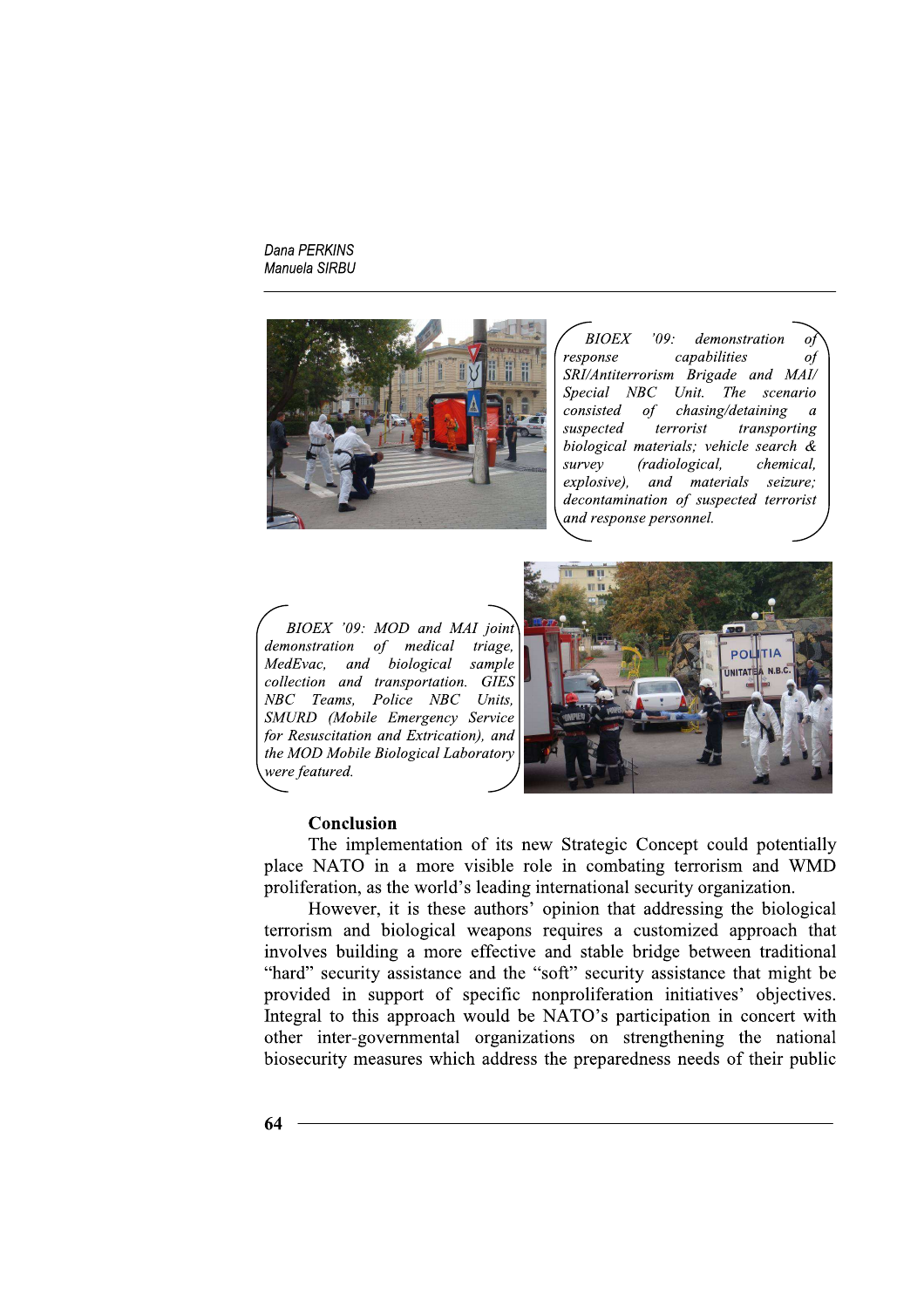

**BIOEX**  $'09.$ demonstration capabilities response  $\circ f$ SRI/Antiterrorism Brigade and MAI/ Special NBC Unit. The scenario consisted  $\sigma f$ chasing/detaining  $\overline{a}$ terrorist suspected transporting biological materials; vehicle search  $\&$ survey (radiological, chemical. explosive), and materials seizure; decontamination of suspected terrorist and response personnel.

BIOEX '09: MOD and MAI joint demonstration of medical triage, MedEvac, and biological sample collection and transportation. GIES NBC Teams, Police NBC Units, SMURD (Mobile Emergency Service for Resuscitation and Extrication), and the MOD Mobile Biological Laboratory were featured.



## Conclusion

The implementation of its new Strategic Concept could potentially place NATO in a more visible role in combating terrorism and WMD proliferation, as the world's leading international security organization.

However, it is these authors' opinion that addressing the biological terrorism and biological weapons requires a customized approach that involves building a more effective and stable bridge between traditional "hard" security assistance and the "soft" security assistance that might be provided in support of specific nonproliferation initiatives' objectives. Integral to this approach would be NATO's participation in concert with other inter-governmental organizations on strengthening the national biosecurity measures which address the preparedness needs of their public